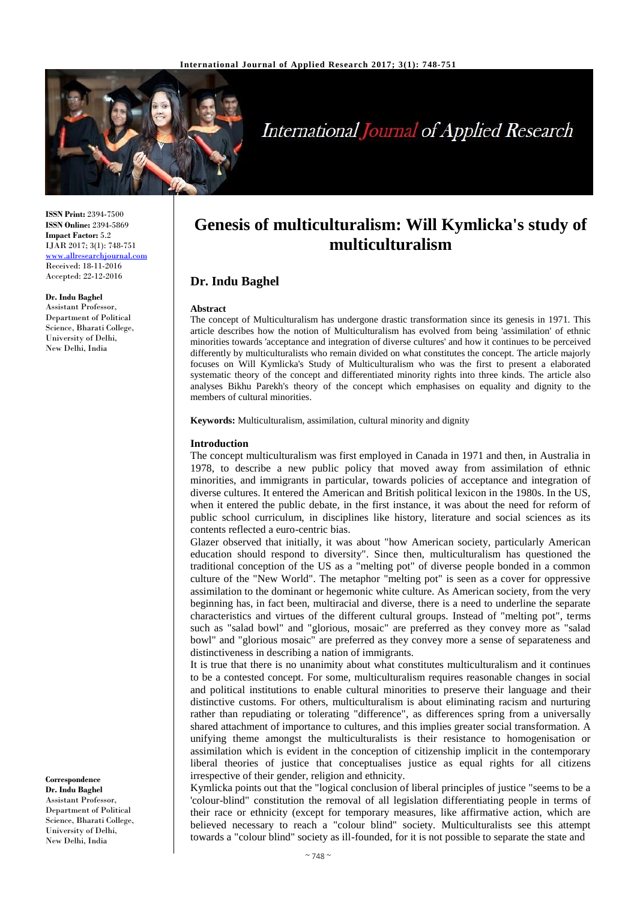

# **International Journal of Applied Research**

**ISSN Print:** 2394-7500 **ISSN Online:** 2394-5869 **Impact Factor:** 5.2 IJAR 2017; 3(1): 748-751 <www.allresearchjournal.com> Received: 18-11-2016 Accepted: 22-12-2016

**Dr. Indu Baghel** Assistant Professor, Department of Political Science, Bharati College, University of Delhi, New Delhi, India

**Correspondence Dr. Indu Baghel** Assistant Professor, Department of Political Science, Bharati College, University of Delhi, New Delhi, India

## **Genesis of multiculturalism: Will Kymlicka's study of multiculturalism**

## **Dr. Indu Baghel**

#### **Abstract**

The concept of Multiculturalism has undergone drastic transformation since its genesis in 1971. This article describes how the notion of Multiculturalism has evolved from being 'assimilation' of ethnic minorities towards 'acceptance and integration of diverse cultures' and how it continues to be perceived differently by multiculturalists who remain divided on what constitutes the concept. The article majorly focuses on Will Kymlicka's Study of Multiculturalism who was the first to present a elaborated systematic theory of the concept and differentiated minority rights into three kinds. The article also analyses Bikhu Parekh's theory of the concept which emphasises on equality and dignity to the members of cultural minorities.

**Keywords:** Multiculturalism, assimilation, cultural minority and dignity

#### **Introduction**

The concept multiculturalism was first employed in Canada in 1971 and then, in Australia in 1978, to describe a new public policy that moved away from assimilation of ethnic minorities, and immigrants in particular, towards policies of acceptance and integration of diverse cultures. It entered the American and British political lexicon in the 1980s. In the US, when it entered the public debate, in the first instance, it was about the need for reform of public school curriculum, in disciplines like history, literature and social sciences as its contents reflected a euro-centric bias.

Glazer observed that initially, it was about "how American society, particularly American education should respond to diversity". Since then, multiculturalism has questioned the traditional conception of the US as a "melting pot" of diverse people bonded in a common culture of the "New World". The metaphor "melting pot" is seen as a cover for oppressive assimilation to the dominant or hegemonic white culture. As American society, from the very beginning has, in fact been, multiracial and diverse, there is a need to underline the separate characteristics and virtues of the different cultural groups. Instead of "melting pot", terms such as "salad bowl" and "glorious, mosaic" are preferred as they convey more as "salad bowl" and "glorious mosaic" are preferred as they convey more a sense of separateness and distinctiveness in describing a nation of immigrants.

It is true that there is no unanimity about what constitutes multiculturalism and it continues to be a contested concept. For some, multiculturalism requires reasonable changes in social and political institutions to enable cultural minorities to preserve their language and their distinctive customs. For others, multiculturalism is about eliminating racism and nurturing rather than repudiating or tolerating "difference", as differences spring from a universally shared attachment of importance to cultures, and this implies greater social transformation. A unifying theme amongst the multiculturalists is their resistance to homogenisation or assimilation which is evident in the conception of citizenship implicit in the contemporary liberal theories of justice that conceptualises justice as equal rights for all citizens irrespective of their gender, religion and ethnicity.

Kymlicka points out that the "logical conclusion of liberal principles of justice "seems to be a 'colour-blind" constitution the removal of all legislation differentiating people in terms of their race or ethnicity (except for temporary measures, like affirmative action, which are believed necessary to reach a "colour blind" society. Multiculturalists see this attempt towards a "colour blind" society as ill-founded, for it is not possible to separate the state and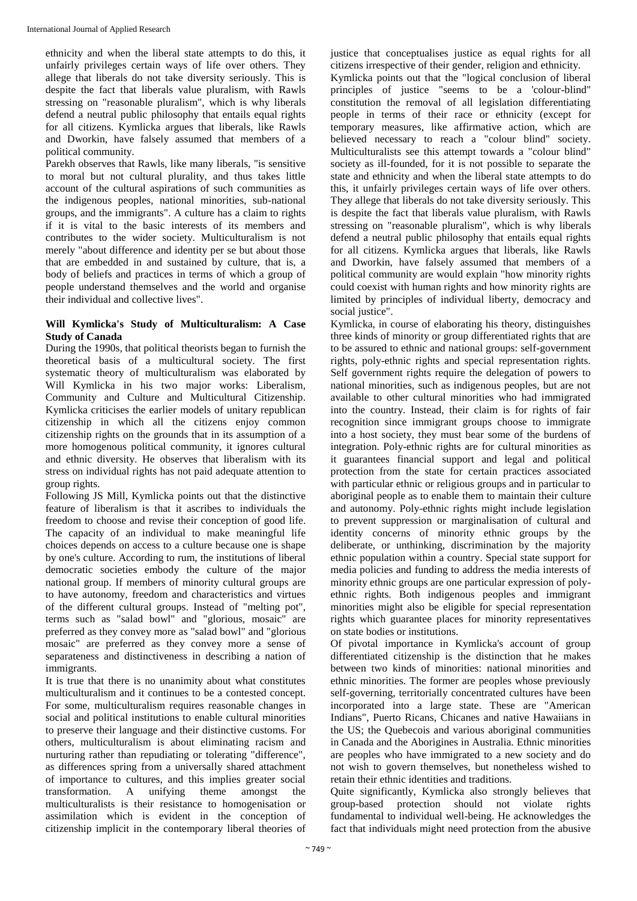ethnicity and when the liberal state attempts to do this, it unfairly privileges certain ways of life over others. They allege that liberals do not take diversity seriously. This is despite the fact that liberals value pluralism, with Rawls stressing on "reasonable pluralism", which is why liberals defend a neutral public philosophy that entails equal rights for all citizens. Kymlicka argues that liberals, like Rawls and Dworkin, have falsely assumed that members of a political community.

Parekh observes that Rawls, like many liberals, "is sensitive to moral but not cultural plurality, and thus takes little account of the cultural aspirations of such communities as the indigenous peoples, national minorities, sub-national groups, and the immigrants". A culture has a claim to rights if it is vital to the basic interests of its members and contributes to the wider society. Multiculturalism is not merely "about difference and identity per se but about those that are embedded in and sustained by culture, that is, a body of beliefs and practices in terms of which a group of people understand themselves and the world and organise their individual and collective lives".

## **Will Kymlicka's Study of Multiculturalism: A Case Study of Canada**

During the 1990s, that political theorists began to furnish the theoretical basis of a multicultural society. The first systematic theory of multiculturalism was elaborated by Will Kymlicka in his two major works: Liberalism, Community and Culture and Multicultural Citizenship. Kymlicka criticises the earlier models of unitary republican citizenship in which all the citizens enjoy common citizenship rights on the grounds that in its assumption of a more homogenous political community, it ignores cultural and ethnic diversity. He observes that liberalism with its stress on individual rights has not paid adequate attention to group rights.

Following JS Mill, Kymlicka points out that the distinctive feature of liberalism is that it ascribes to individuals the freedom to choose and revise their conception of good life. The capacity of an individual to make meaningful life choices depends on access to a culture because one is shape by one's culture. According to rum, the institutions of liberal democratic societies embody the culture of the major national group. If members of minority cultural groups are to have autonomy, freedom and characteristics and virtues of the different cultural groups. Instead of "melting pot", terms such as "salad bowl" and "glorious, mosaic" are preferred as they convey more as "salad bowl" and "glorious mosaic" are preferred as they convey more a sense of separateness and distinctiveness in describing a nation of immigrants.

It is true that there is no unanimity about what constitutes multiculturalism and it continues to be a contested concept. For some, multiculturalism requires reasonable changes in social and political institutions to enable cultural minorities to preserve their language and their distinctive customs. For others, multiculturalism is about eliminating racism and nurturing rather than repudiating or tolerating "difference", as differences spring from a universally shared attachment of importance to cultures, and this implies greater social transformation. A unifying theme amongst the multiculturalists is their resistance to homogenisation or assimilation which is evident in the conception of citizenship implicit in the contemporary liberal theories of

justice that conceptualises justice as equal rights for all citizens irrespective of their gender, religion and ethnicity.

Kymlicka points out that the "logical conclusion of liberal principles of justice "seems to be a 'colour-blind" constitution the removal of all legislation differentiating people in terms of their race or ethnicity (except for temporary measures, like affirmative action, which are believed necessary to reach a "colour blind" society. Multiculturalists see this attempt towards a "colour blind" society as ill-founded, for it is not possible to separate the state and ethnicity and when the liberal state attempts to do this, it unfairly privileges certain ways of life over others. They allege that liberals do not take diversity seriously. This is despite the fact that liberals value pluralism, with Rawls stressing on "reasonable pluralism", which is why liberals defend a neutral public philosophy that entails equal rights for all citizens. Kymlicka argues that liberals, like Rawls and Dworkin, have falsely assumed that members of a political community are would explain "how minority rights could coexist with human rights and how minority rights are limited by principles of individual liberty, democracy and social justice".

Kymlicka, in course of elaborating his theory, distinguishes three kinds of minority or group differentiated rights that are to be assured to ethnic and national groups: self-government rights, poly-ethnic rights and special representation rights. Self government rights require the delegation of powers to national minorities, such as indigenous peoples, but are not available to other cultural minorities who had immigrated into the country. Instead, their claim is for rights of fair recognition since immigrant groups choose to immigrate into a host society, they must bear some of the burdens of integration. Poly-ethnic rights are for cultural minorities as it guarantees financial support and legal and political protection from the state for certain practices associated with particular ethnic or religious groups and in particular to aboriginal people as to enable them to maintain their culture and autonomy. Poly-ethnic rights might include legislation to prevent suppression or marginalisation of cultural and identity concerns of minority ethnic groups by the deliberate, or unthinking, discrimination by the majority ethnic population within a country. Special state support for media policies and funding to address the media interests of minority ethnic groups are one particular expression of polyethnic rights. Both indigenous peoples and immigrant minorities might also be eligible for special representation rights which guarantee places for minority representatives on state bodies or institutions.

Of pivotal importance in Kymlicka's account of group differentiated citizenship is the distinction that he makes between two kinds of minorities: national minorities and ethnic minorities. The former are peoples whose previously self-governing, territorially concentrated cultures have been incorporated into a large state. These are "American Indians", Puerto Ricans, Chicanes and native Hawaiians in the US; the Quebecois and various aboriginal communities in Canada and the Aborigines in Australia. Ethnic minorities are peoples who have immigrated to a new society and do not wish to govern themselves, but nonetheless wished to retain their ethnic identities and traditions.

Quite significantly, Kymlicka also strongly believes that group-based protection should not violate rights fundamental to individual well-being. He acknowledges the fact that individuals might need protection from the abusive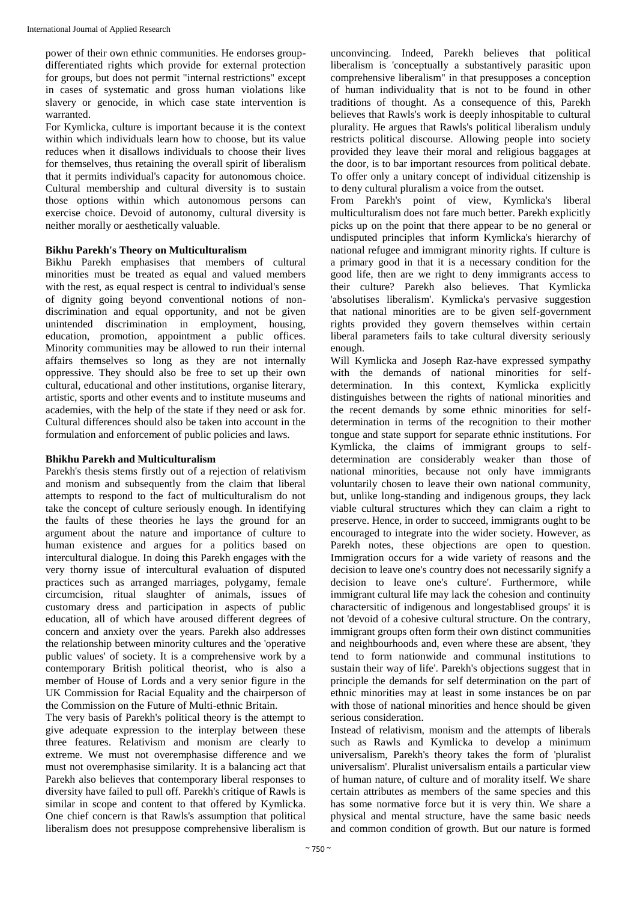power of their own ethnic communities. He endorses groupdifferentiated rights which provide for external protection for groups, but does not permit "internal restrictions" except in cases of systematic and gross human violations like slavery or genocide, in which case state intervention is warranted.

For Kymlicka, culture is important because it is the context within which individuals learn how to choose, but its value reduces when it disallows individuals to choose their lives for themselves, thus retaining the overall spirit of liberalism that it permits individual's capacity for autonomous choice. Cultural membership and cultural diversity is to sustain those options within which autonomous persons can exercise choice. Devoid of autonomy, cultural diversity is neither morally or aesthetically valuable.

## **Bikhu Parekh's Theory on Multiculturalism**

Bikhu Parekh emphasises that members of cultural minorities must be treated as equal and valued members with the rest, as equal respect is central to individual's sense of dignity going beyond conventional notions of nondiscrimination and equal opportunity, and not be given unintended discrimination in employment, housing, education, promotion, appointment a public offices. Minority communities may be allowed to run their internal affairs themselves so long as they are not internally oppressive. They should also be free to set up their own cultural, educational and other institutions, organise literary, artistic, sports and other events and to institute museums and academies, with the help of the state if they need or ask for. Cultural differences should also be taken into account in the formulation and enforcement of public policies and laws.

## **Bhikhu Parekh and Multiculturalism**

Parekh's thesis stems firstly out of a rejection of relativism and monism and subsequently from the claim that liberal attempts to respond to the fact of multiculturalism do not take the concept of culture seriously enough. In identifying the faults of these theories he lays the ground for an argument about the nature and importance of culture to human existence and argues for a politics based on intercultural dialogue. In doing this Parekh engages with the very thorny issue of intercultural evaluation of disputed practices such as arranged marriages, polygamy, female circumcision, ritual slaughter of animals, issues of customary dress and participation in aspects of public education, all of which have aroused different degrees of concern and anxiety over the years. Parekh also addresses the relationship between minority cultures and the 'operative public values' of society. It is a comprehensive work by a contemporary British political theorist, who is also a member of House of Lords and a very senior figure in the UK Commission for Racial Equality and the chairperson of the Commission on the Future of Multi-ethnic Britain.

The very basis of Parekh's political theory is the attempt to give adequate expression to the interplay between these three features. Relativism and monism are clearly to extreme. We must not overemphasise difference and we must not overemphasise similarity. It is a balancing act that Parekh also believes that contemporary liberal responses to diversity have failed to pull off. Parekh's critique of Rawls is similar in scope and content to that offered by Kymlicka. One chief concern is that Rawls's assumption that political liberalism does not presuppose comprehensive liberalism is

unconvincing. Indeed, Parekh believes that political liberalism is 'conceptually a substantively parasitic upon comprehensive liberalism" in that presupposes a conception of human individuality that is not to be found in other traditions of thought. As a consequence of this, Parekh believes that Rawls's work is deeply inhospitable to cultural plurality. He argues that Rawls's political liberalism unduly restricts political discourse. Allowing people into society provided they leave their moral and religious baggages at the door, is to bar important resources from political debate. To offer only a unitary concept of individual citizenship is to deny cultural pluralism a voice from the outset.

From Parekh's point of view, Kymlicka's liberal multiculturalism does not fare much better. Parekh explicitly picks up on the point that there appear to be no general or undisputed principles that inform Kymlicka's hierarchy of national refugee and immigrant minority rights. If culture is a primary good in that it is a necessary condition for the good life, then are we right to deny immigrants access to their culture? Parekh also believes. That Kymlicka 'absolutises liberalism'. Kymlicka's pervasive suggestion that national minorities are to be given self-government rights provided they govern themselves within certain liberal parameters fails to take cultural diversity seriously enough.

Will Kymlicka and Joseph Raz-have expressed sympathy with the demands of national minorities for selfdetermination. In this context, Kymlicka explicitly distinguishes between the rights of national minorities and the recent demands by some ethnic minorities for selfdetermination in terms of the recognition to their mother tongue and state support for separate ethnic institutions. For Kymlicka, the claims of immigrant groups to selfdetermination are considerably weaker than those of national minorities, because not only have immigrants voluntarily chosen to leave their own national community, but, unlike long-standing and indigenous groups, they lack viable cultural structures which they can claim a right to preserve. Hence, in order to succeed, immigrants ought to be encouraged to integrate into the wider society. However, as Parekh notes, these objections are open to question. Immigration occurs for a wide variety of reasons and the decision to leave one's country does not necessarily signify a decision to leave one's culture'. Furthermore, while immigrant cultural life may lack the cohesion and continuity charactersitic of indigenous and longestablised groups' it is not 'devoid of a cohesive cultural structure. On the contrary, immigrant groups often form their own distinct communities and neighbourhoods and, even where these are absent, 'they tend to form nationwide and communal institutions to sustain their way of life'. Parekh's objections suggest that in principle the demands for self determination on the part of ethnic minorities may at least in some instances be on par with those of national minorities and hence should be given serious consideration.

Instead of relativism, monism and the attempts of liberals such as Rawls and Kymlicka to develop a minimum universalism, Parekh's theory takes the form of 'pluralist universalism'. Pluralist universalism entails a particular view of human nature, of culture and of morality itself. We share certain attributes as members of the same species and this has some normative force but it is very thin. We share a physical and mental structure, have the same basic needs and common condition of growth. But our nature is formed